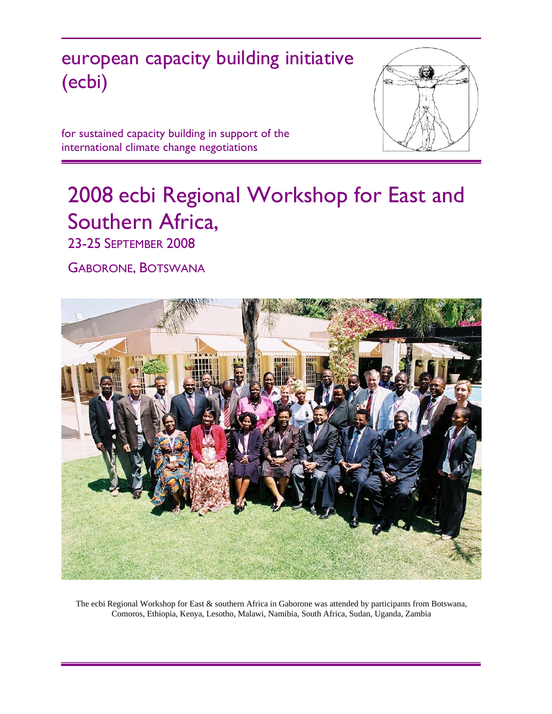## european capacity building initiative (ecbi)



for sustained capacity building in support of the international climate change negotiations

# 2008 ecbi Regional Workshop for East and Southern Africa,

23-25 SEPTEMBER 2008

GABORONE, BOTSWANA



The ecbi Regional Workshop for East & southern Africa in Gaborone was attended by participants from Botswana, Comoros, Ethiopia, Kenya, Lesotho, Malawi, Namibia, South Africa, Sudan, Uganda, Zambia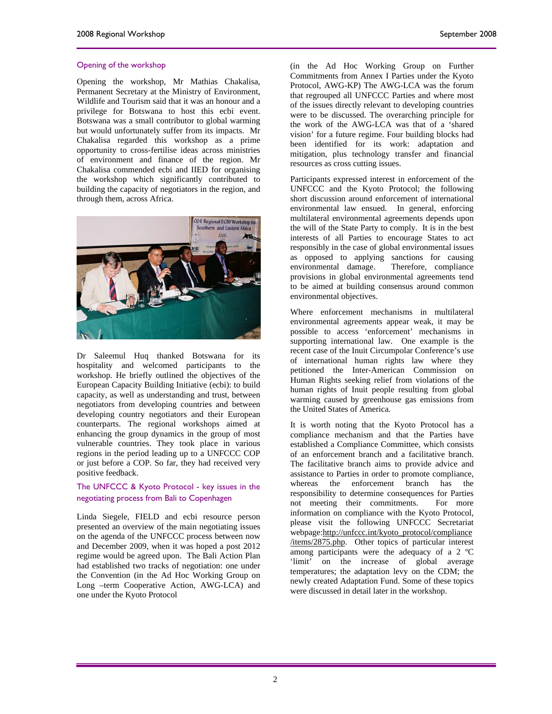#### Opening of the workshop

Opening the workshop, Mr Mathias Chakalisa, Permanent Secretary at the Ministry of Environment, Wildlife and Tourism said that it was an honour and a privilege for Botswana to host this ecbi event. Botswana was a small contributor to global warming but would unfortunately suffer from its impacts. Mr Chakalisa regarded this workshop as a prime opportunity to cross-fertilise ideas across ministries of environment and finance of the region. Mr Chakalisa commended ecbi and IIED for organising the workshop which significantly contributed to building the capacity of negotiators in the region, and through them, across Africa.



Dr Saleemul Huq thanked Botswana for its hospitality and welcomed participants to the workshop. He briefly outlined the objectives of the European Capacity Building Initiative (ecbi): to build capacity, as well as understanding and trust, between negotiators from developing countries and between developing country negotiators and their European counterparts. The regional workshops aimed at enhancing the group dynamics in the group of most vulnerable countries. They took place in various regions in the period leading up to a UNFCCC COP or just before a COP. So far, they had received very positive feedback.

#### The UNFCCC & Kyoto Protocol - key issues in the negotiating process from Bali to Copenhagen

Linda Siegele, FIELD and ecbi resource person presented an overview of the main negotiating issues on the agenda of the UNFCCC process between now and December 2009, when it was hoped a post 2012 regime would be agreed upon. The Bali Action Plan had established two tracks of negotiation: one under the Convention (in the Ad Hoc Working Group on Long –term Cooperative Action, AWG-LCA) and one under the Kyoto Protocol

(in the Ad Hoc Working Group on Further Commitments from Annex I Parties under the Kyoto Protocol, AWG-KP) The AWG-LCA was the forum that regrouped all UNFCCC Parties and where most of the issues directly relevant to developing countries were to be discussed. The overarching principle for the work of the AWG-LCA was that of a 'shared vision' for a future regime. Four building blocks had been identified for its work: adaptation and mitigation, plus technology transfer and financial resources as cross cutting issues.

Participants expressed interest in enforcement of the UNFCCC and the Kyoto Protocol; the following short discussion around enforcement of international environmental law ensued. In general, enforcing multilateral environmental agreements depends upon the will of the State Party to comply. It is in the best interests of all Parties to encourage States to act responsibly in the case of global environmental issues as opposed to applying sanctions for causing<br>environmental damage. Therefore, compliance environmental damage. provisions in global environmental agreements tend to be aimed at building consensus around common environmental objectives.

Where enforcement mechanisms in multilateral environmental agreements appear weak, it may be possible to access 'enforcement' mechanisms in supporting international law. One example is the recent case of the Inuit Circumpolar Conference's use of international human rights law where they petitioned the Inter-American Commission on Human Rights seeking relief from violations of the human rights of Inuit people resulting from global warming caused by greenhouse gas emissions from the United States of America.

It is worth noting that the Kyoto Protocol has a compliance mechanism and that the Parties have established a Compliance Committee, which consists of an enforcement branch and a facilitative branch. The facilitative branch aims to provide advice and assistance to Parties in order to promote compliance, whereas the enforcement branch has the responsibility to determine consequences for Parties not meeting their commitments. For more information on compliance with the Kyoto Protocol, please visit the following UNFCCC Secretariat webpage:http://unfccc.int/kyoto\_protocol/compliance /items/2875.php. Other topics of particular interest among participants were the adequacy of a 2 ºC 'limit' on the increase of global average temperatures; the adaptation levy on the CDM; the newly created Adaptation Fund. Some of these topics were discussed in detail later in the workshop.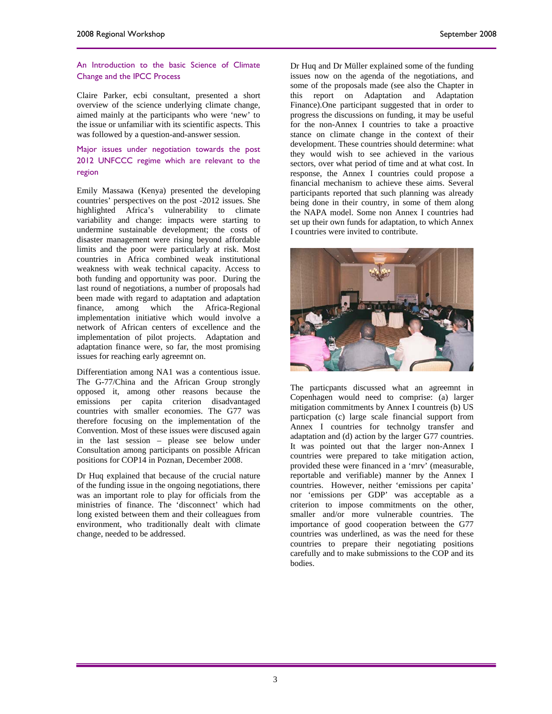#### An Introduction to the basic Science of Climate Change and the IPCC Process

Claire Parker, ecbi consultant, presented a short overview of the science underlying climate change, aimed mainly at the participants who were 'new' to the issue or unfamiliar with its scientific aspects. This was followed by a question-and-answer session.

#### Major issues under negotiation towards the post 2012 UNFCCC regime which are relevant to the region

Emily Massawa (Kenya) presented the developing countries' perspectives on the post -2012 issues. She highlighted Africa's vulnerability to climate variability and change: impacts were starting to undermine sustainable development; the costs of disaster management were rising beyond affordable limits and the poor were particularly at risk. Most countries in Africa combined weak institutional weakness with weak technical capacity. Access to both funding and opportunity was poor. During the last round of negotiations, a number of proposals had been made with regard to adaptation and adaptation finance, among which the Africa-Regional implementation initiative which would involve a network of African centers of excellence and the implementation of pilot projects. Adaptation and adaptation finance were, so far, the most promising issues for reaching early agreemnt on.

Differentiation among NA1 was a contentious issue. The G-77/China and the African Group strongly opposed it, among other reasons because the emissions per capita criterion disadvantaged countries with smaller economies. The G77 was therefore focusing on the implementation of the Convention. Most of these issues were discused again in the last session – please see below under Consultation among participants on possible African positions for COP14 in Poznan, December 2008.

Dr Huq explained that because of the crucial nature of the funding issue in the ongoing negotiations, there was an important role to play for officials from the ministries of finance. The 'disconnect' which had long existed between them and their colleagues from environment, who traditionally dealt with climate change, needed to be addressed.

Dr Huq and Dr Müller explained some of the funding issues now on the agenda of the negotiations, and some of the proposals made (see also the Chapter in this report on Adaptation and Adaptation Finance).One participant suggested that in order to progress the discussions on funding, it may be useful for the non-Annex I countries to take a proactive stance on climate change in the context of their development. These countries should determine: what they would wish to see achieved in the various sectors, over what period of time and at what cost. In response, the Annex I countries could propose a financial mechanism to achieve these aims. Several participants reported that such planning was already being done in their country, in some of them along the NAPA model. Some non Annex I countries had set up their own funds for adaptation, to which Annex I countries were invited to contribute.



The particpants discussed what an agreemnt in Copenhagen would need to comprise: (a) larger mitigation commitments by Annex I countreis (b) US particpation (c) large scale financial support from Annex I countries for technolgy transfer and adaptation and (d) action by the larger G77 countries. It was pointed out that the larger non-Annex I countries were prepared to take mitigation action, provided these were financed in a 'mrv' (measurable, reportable and verifiable) manner by the Annex I countries. However, neither 'emissions per capita' nor 'emissions per GDP' was acceptable as a criterion to impose commitments on the other, smaller and/or more vulnerable countries. The importance of good cooperation between the G77 countries was underlined, as was the need for these countries to prepare their negotiating positions carefully and to make submissions to the COP and its bodies.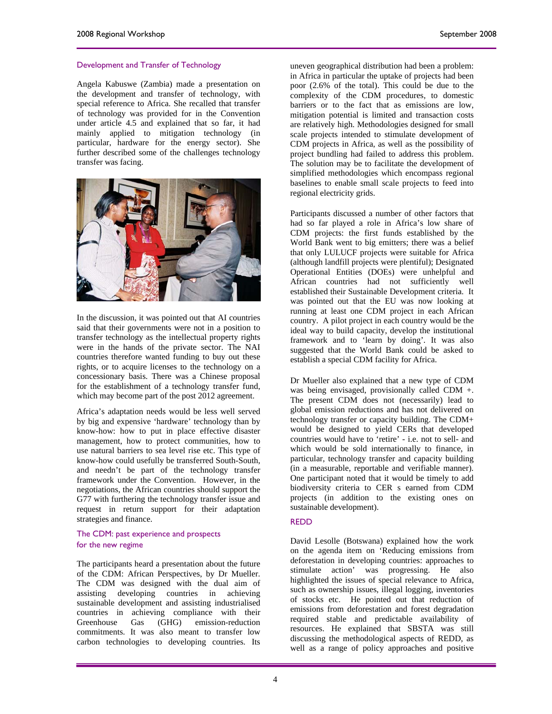#### Development and Transfer of Technology

Angela Kabuswe (Zambia) made a presentation on the development and transfer of technology, with special reference to Africa. She recalled that transfer of technology was provided for in the Convention under article 4.5 and explained that so far, it had mainly applied to mitigation technology (in particular, hardware for the energy sector). She further described some of the challenges technology transfer was facing.



In the discussion, it was pointed out that AI countries said that their governments were not in a position to transfer technology as the intellectual property rights were in the hands of the private sector. The NAI countries therefore wanted funding to buy out these rights, or to acquire licenses to the technology on a concessionary basis. There was a Chinese proposal for the establishment of a technology transfer fund, which may become part of the post 2012 agreement.

Africa's adaptation needs would be less well served by big and expensive 'hardware' technology than by know-how: how to put in place effective disaster management, how to protect communities, how to use natural barriers to sea level rise etc. This type of know-how could usefully be transferred South-South, and needn't be part of the technology transfer framework under the Convention. However, in the negotiations, the African countries should support the G77 with furthering the technology transfer issue and request in return support for their adaptation strategies and finance.

#### The CDM: past experience and prospects for the new regime

The participants heard a presentation about the future of the CDM: African Perspectives, by Dr Mueller. The CDM was designed with the dual aim of assisting developing countries in achieving sustainable development and assisting industrialised countries in achieving compliance with their Greenhouse Gas (GHG) emission-reduction commitments. It was also meant to transfer low carbon technologies to developing countries. Its

uneven geographical distribution had been a problem: in Africa in particular the uptake of projects had been poor (2.6% of the total). This could be due to the complexity of the CDM procedures, to domestic barriers or to the fact that as emissions are low, mitigation potential is limited and transaction costs are relatively high. Methodologies designed for small scale projects intended to stimulate development of CDM projects in Africa, as well as the possibility of project bundling had failed to address this problem. The solution may be to facilitate the development of simplified methodologies which encompass regional baselines to enable small scale projects to feed into regional electricity grids.

Participants discussed a number of other factors that had so far played a role in Africa's low share of CDM projects: the first funds established by the World Bank went to big emitters; there was a belief that only LULUCF projects were suitable for Africa (although landfill projects were plentiful); Designated Operational Entities (DOEs) were unhelpful and African countries had not sufficiently well established their Sustainable Development criteria. It was pointed out that the EU was now looking at running at least one CDM project in each African country. A pilot project in each country would be the ideal way to build capacity, develop the institutional framework and to 'learn by doing'. It was also suggested that the World Bank could be asked to establish a special CDM facility for Africa.

Dr Mueller also explained that a new type of CDM was being envisaged, provisionally called CDM +. The present CDM does not (necessarily) lead to global emission reductions and has not delivered on technology transfer or capacity building. The CDM+ would be designed to yield CERs that developed countries would have to 'retire' - i.e. not to sell- and which would be sold internationally to finance, in particular, technology transfer and capacity building (in a measurable, reportable and verifiable manner). One participant noted that it would be timely to add biodiversity criteria to CER s earned from CDM projects (in addition to the existing ones on sustainable development).

#### REDD

David Lesolle (Botswana) explained how the work on the agenda item on 'Reducing emissions from deforestation in developing countries: approaches to stimulate action' was progressing. He also highlighted the issues of special relevance to Africa, such as ownership issues, illegal logging, inventories of stocks etc. He pointed out that reduction of emissions from deforestation and forest degradation required stable and predictable availability of resources. He explained that SBSTA was still discussing the methodological aspects of REDD, as well as a range of policy approaches and positive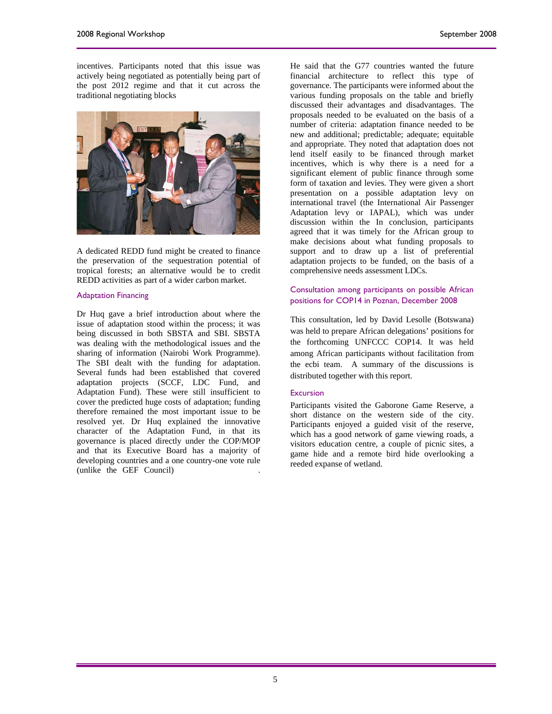incentives. Participants noted that this issue was actively being negotiated as potentially being part of the post 2012 regime and that it cut across the traditional negotiating blocks



A dedicated REDD fund might be created to finance the preservation of the sequestration potential of tropical forests; an alternative would be to credit REDD activities as part of a wider carbon market.

#### Adaptation Financing

Dr Huq gave a brief introduction about where the issue of adaptation stood within the process; it was being discussed in both SBSTA and SBI. SBSTA was dealing with the methodological issues and the sharing of information (Nairobi Work Programme). The SBI dealt with the funding for adaptation. Several funds had been established that covered adaptation projects (SCCF, LDC Fund, and Adaptation Fund). These were still insufficient to cover the predicted huge costs of adaptation; funding therefore remained the most important issue to be resolved yet. Dr Huq explained the innovative character of the Adaptation Fund, in that its governance is placed directly under the COP/MOP and that its Executive Board has a majority of developing countries and a one country-one vote rule (unlike the GEF Council) .

He said that the G77 countries wanted the future financial architecture to reflect this type of governance. The participants were informed about the various funding proposals on the table and briefly discussed their advantages and disadvantages. The proposals needed to be evaluated on the basis of a number of criteria: adaptation finance needed to be new and additional; predictable; adequate; equitable and appropriate. They noted that adaptation does not lend itself easily to be financed through market incentives, which is why there is a need for a significant element of public finance through some form of taxation and levies. They were given a short presentation on a possible adaptation levy on international travel (the International Air Passenger Adaptation levy or IAPAL), which was under discussion within the In conclusion, participants agreed that it was timely for the African group to make decisions about what funding proposals to support and to draw up a list of preferential adaptation projects to be funded, on the basis of a comprehensive needs assessment LDCs.

#### Consultation among participants on possible African positions for COP14 in Poznan, December 2008

This consultation, led by David Lesolle (Botswana) was held to prepare African delegations' positions for the forthcoming UNFCCC COP14. It was held among African participants without facilitation from the ecbi team. A summary of the discussions is distributed together with this report.

#### **Excursion**

Participants visited the Gaborone Game Reserve, a short distance on the western side of the city. Participants enjoyed a guided visit of the reserve, which has a good network of game viewing roads, a visitors education centre, a couple of picnic sites, a game hide and a remote bird hide overlooking a reeded expanse of wetland.